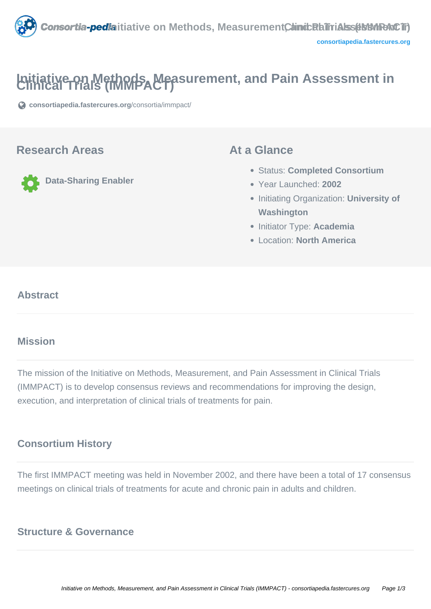

# **Initiative on Methods, Measurement, and Pain Assessment in Clinical Trials (IMMPACT)**

**[consortiapedia.fastercures.org](https://consortiapedia.fastercures.org/consortia/immpact/)**[/consortia/immpact/](https://consortiapedia.fastercures.org/consortia/immpact/)

#### **Research Areas**

**Data-Sharing Enabler**

#### **At a Glance**

- Status: **Completed Consortium**
- Year Launched: **2002**
- **Initiating Organization: University of Washington**
- **Initiator Type: Academia**
- Location: **North America**

#### $\overline{\phantom{a}}$ **Abstract**

#### **Mission**

The mission of the Initiative on Methods, Measurement, and Pain Assessment in Clinical Trials (IMMPACT) is to develop consensus reviews and recommendations for improving the design, execution, and interpretation of clinical trials of treatments for pain.

### **Consortium History**

The first IMMPACT meeting was held in November 2002, and there have been a total of 17 consensus meetings on clinical trials of treatments for acute and chronic pain in adults and children.

#### **Structure & Governance**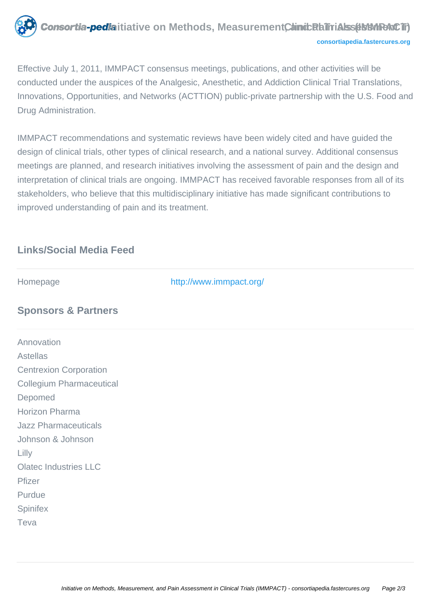

Effective July 1, 2011, IMMPACT consensus meetings, publications, and other activities will be conducted under the auspices of the Analgesic, Anesthetic, and Addiction Clinical Trial Translations, Innovations, Opportunities, and Networks (ACTTION) public-private partnership with the U.S. Food and Drug Administration.

IMMPACT recommendations and systematic reviews have been widely cited and have guided the design of clinical trials, other types of clinical research, and a national survey. Additional consensus meetings are planned, and research initiatives involving the assessment of pain and the design and interpretation of clinical trials are ongoing. IMMPACT has received favorable responses from all of its stakeholders, who believe that this multidisciplinary initiative has made significant contributions to improved understanding of pain and its treatment.

### **Links/Social Media Feed**

Homepage <http://www.immpact.org/>

## **Sponsors & Partners**

Annovation Astellas Centrexion Corporation Collegium Pharmaceutical Depomed Horizon Pharma Jazz Pharmaceuticals Johnson & Johnson Lilly Olatec Industries LLC Pfizer Purdue **Spinifex** Teva